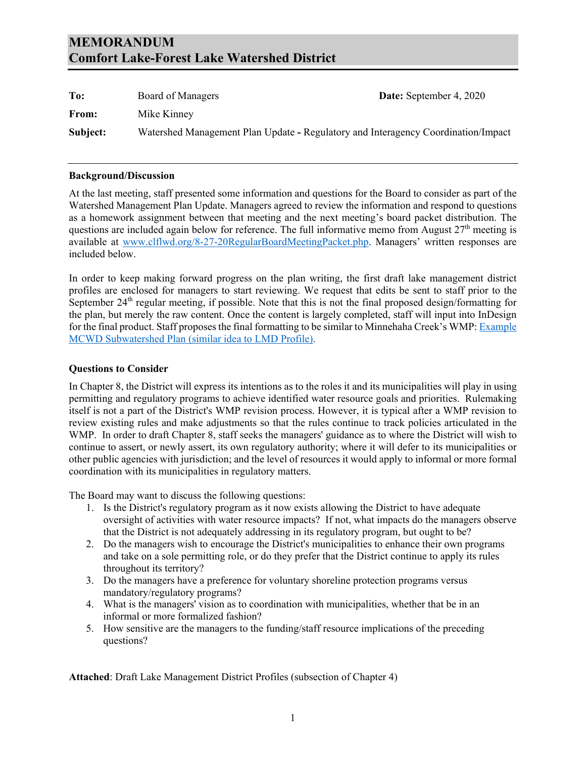| To:      | Board of Managers                                                                 | Date: September 4, 2020 |
|----------|-----------------------------------------------------------------------------------|-------------------------|
| From:    | Mike Kinney                                                                       |                         |
| Subject: | Watershed Management Plan Update - Regulatory and Interagency Coordination/Impact |                         |

### **Background/Discussion**

At the last meeting, staff presented some information and questions for the Board to consider as part of the Watershed Management Plan Update. Managers agreed to review the information and respond to questions as a homework assignment between that meeting and the next meeting's board packet distribution. The questions are included again below for reference. The full informative memo from August  $27<sup>th</sup>$  meeting is available at [www.clflwd.org/8-27-20RegularBoardMeetingPacket.php.](http://www.clflwd.org/8-27-20RegularBoardMeetingPacket.php) Managers' written responses are included below.

In order to keep making forward progress on the plan writing, the first draft lake management district profiles are enclosed for managers to start reviewing. We request that edits be sent to staff prior to the September 24<sup>th</sup> regular meeting, if possible. Note that this is not the final proposed design/formatting for the plan, but merely the raw content. Once the content is largely completed, staff will input into InDesign for the final product. Staff proposes the final formatting to be similar to Minnehaha Creek's WMP: [Example](https://www.minnehahacreek.org/sites/minnehahacreek.org/files/CompPlan/MCWDCompPlan/Volume%203.pdf#page=66)  [MCWD Subwatershed Plan \(similar](https://www.minnehahacreek.org/sites/minnehahacreek.org/files/CompPlan/MCWDCompPlan/Volume%203.pdf#page=66) idea to LMD Profile).

## **Questions to Consider**

In Chapter 8, the District will express its intentions as to the roles it and its municipalities will play in using permitting and regulatory programs to achieve identified water resource goals and priorities. Rulemaking itself is not a part of the District's WMP revision process. However, it is typical after a WMP revision to review existing rules and make adjustments so that the rules continue to track policies articulated in the WMP. In order to draft Chapter 8, staff seeks the managers' guidance as to where the District will wish to continue to assert, or newly assert, its own regulatory authority; where it will defer to its municipalities or other public agencies with jurisdiction; and the level of resources it would apply to informal or more formal coordination with its municipalities in regulatory matters.

The Board may want to discuss the following questions:

- 1. Is the District's regulatory program as it now exists allowing the District to have adequate oversight of activities with water resource impacts? If not, what impacts do the managers observe that the District is not adequately addressing in its regulatory program, but ought to be?
- 2. Do the managers wish to encourage the District's municipalities to enhance their own programs and take on a sole permitting role, or do they prefer that the District continue to apply its rules throughout its territory?
- 3. Do the managers have a preference for voluntary shoreline protection programs versus mandatory/regulatory programs?
- 4. What is the managers' vision as to coordination with municipalities, whether that be in an informal or more formalized fashion?
- 5. How sensitive are the managers to the funding/staff resource implications of the preceding questions?

**Attached**: Draft Lake Management District Profiles (subsection of Chapter 4)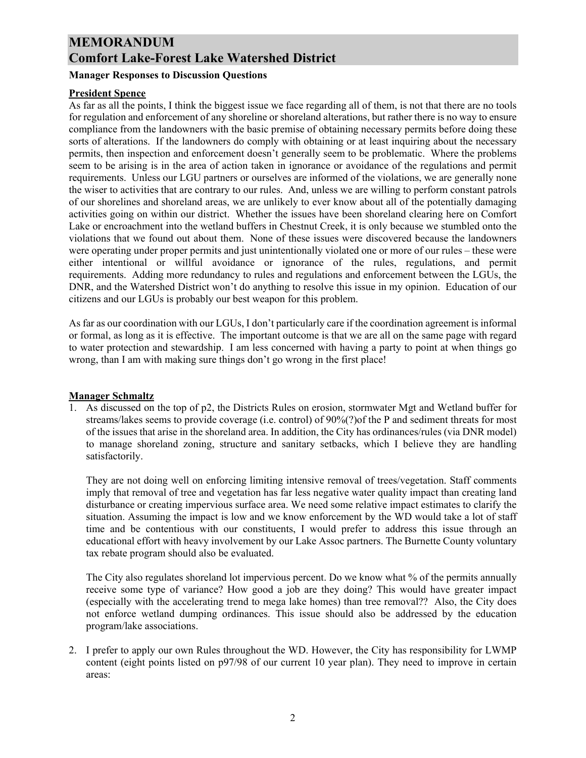## **Manager Responses to Discussion Questions**

## **President Spence**

As far as all the points, I think the biggest issue we face regarding all of them, is not that there are no tools for regulation and enforcement of any shoreline or shoreland alterations, but rather there is no way to ensure compliance from the landowners with the basic premise of obtaining necessary permits before doing these sorts of alterations. If the landowners do comply with obtaining or at least inquiring about the necessary permits, then inspection and enforcement doesn't generally seem to be problematic. Where the problems seem to be arising is in the area of action taken in ignorance or avoidance of the regulations and permit requirements. Unless our LGU partners or ourselves are informed of the violations, we are generally none the wiser to activities that are contrary to our rules. And, unless we are willing to perform constant patrols of our shorelines and shoreland areas, we are unlikely to ever know about all of the potentially damaging activities going on within our district. Whether the issues have been shoreland clearing here on Comfort Lake or encroachment into the wetland buffers in Chestnut Creek, it is only because we stumbled onto the violations that we found out about them. None of these issues were discovered because the landowners were operating under proper permits and just unintentionally violated one or more of our rules – these were either intentional or willful avoidance or ignorance of the rules, regulations, and permit requirements. Adding more redundancy to rules and regulations and enforcement between the LGUs, the DNR, and the Watershed District won't do anything to resolve this issue in my opinion. Education of our citizens and our LGUs is probably our best weapon for this problem.

As far as our coordination with our LGUs, I don't particularly care if the coordination agreement is informal or formal, as long as it is effective. The important outcome is that we are all on the same page with regard to water protection and stewardship. I am less concerned with having a party to point at when things go wrong, than I am with making sure things don't go wrong in the first place!

## **Manager Schmaltz**

1. As discussed on the top of p2, the Districts Rules on erosion, stormwater Mgt and Wetland buffer for streams/lakes seems to provide coverage (i.e. control) of 90%(?)of the P and sediment threats for most of the issues that arise in the shoreland area. In addition, the City has ordinances/rules (via DNR model) to manage shoreland zoning, structure and sanitary setbacks, which I believe they are handling satisfactorily.

They are not doing well on enforcing limiting intensive removal of trees/vegetation. Staff comments imply that removal of tree and vegetation has far less negative water quality impact than creating land disturbance or creating impervious surface area. We need some relative impact estimates to clarify the situation. Assuming the impact is low and we know enforcement by the WD would take a lot of staff time and be contentious with our constituents, I would prefer to address this issue through an educational effort with heavy involvement by our Lake Assoc partners. The Burnette County voluntary tax rebate program should also be evaluated.

The City also regulates shoreland lot impervious percent. Do we know what % of the permits annually receive some type of variance? How good a job are they doing? This would have greater impact (especially with the accelerating trend to mega lake homes) than tree removal?? Also, the City does not enforce wetland dumping ordinances. This issue should also be addressed by the education program/lake associations.

2. I prefer to apply our own Rules throughout the WD. However, the City has responsibility for LWMP content (eight points listed on p97/98 of our current 10 year plan). They need to improve in certain areas: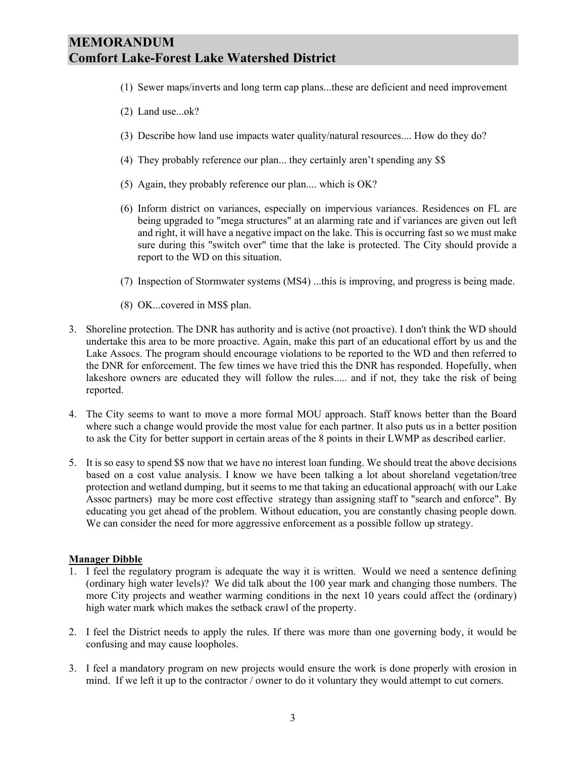- (1) Sewer maps/inverts and long term cap plans...these are deficient and need improvement
- (2) Land use...ok?
- (3) Describe how land use impacts water quality/natural resources.... How do they do?
- (4) They probably reference our plan... they certainly aren't spending any \$\$
- (5) Again, they probably reference our plan.... which is OK?
- (6) Inform district on variances, especially on impervious variances. Residences on FL are being upgraded to "mega structures" at an alarming rate and if variances are given out left and right, it will have a negative impact on the lake. This is occurring fast so we must make sure during this "switch over" time that the lake is protected. The City should provide a report to the WD on this situation.
- (7) Inspection of Stormwater systems (MS4) ...this is improving, and progress is being made.
- (8) OK...covered in MS\$ plan.
- 3. Shoreline protection. The DNR has authority and is active (not proactive). I don't think the WD should undertake this area to be more proactive. Again, make this part of an educational effort by us and the Lake Assocs. The program should encourage violations to be reported to the WD and then referred to the DNR for enforcement. The few times we have tried this the DNR has responded. Hopefully, when lakeshore owners are educated they will follow the rules..... and if not, they take the risk of being reported.
- 4. The City seems to want to move a more formal MOU approach. Staff knows better than the Board where such a change would provide the most value for each partner. It also puts us in a better position to ask the City for better support in certain areas of the 8 points in their LWMP as described earlier.
- 5. It is so easy to spend \$\$ now that we have no interest loan funding. We should treat the above decisions based on a cost value analysis. I know we have been talking a lot about shoreland vegetation/tree protection and wetland dumping, but it seems to me that taking an educational approach( with our Lake Assoc partners) may be more cost effective strategy than assigning staff to "search and enforce". By educating you get ahead of the problem. Without education, you are constantly chasing people down. We can consider the need for more aggressive enforcement as a possible follow up strategy.

## **Manager Dibble**

- 1. I feel the regulatory program is adequate the way it is written. Would we need a sentence defining (ordinary high water levels)? We did talk about the 100 year mark and changing those numbers. The more City projects and weather warming conditions in the next 10 years could affect the (ordinary) high water mark which makes the setback crawl of the property.
- 2. I feel the District needs to apply the rules. If there was more than one governing body, it would be confusing and may cause loopholes.
- 3. I feel a mandatory program on new projects would ensure the work is done properly with erosion in mind. If we left it up to the contractor / owner to do it voluntary they would attempt to cut corners.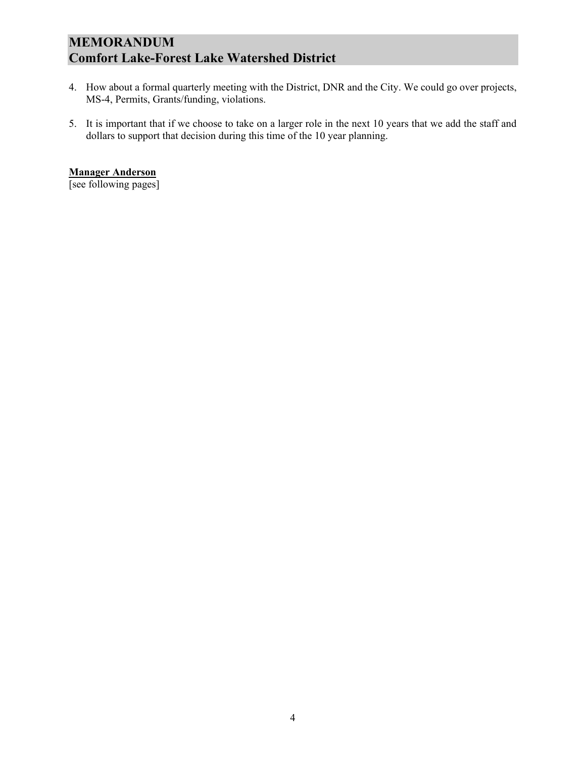- 4. How about a formal quarterly meeting with the District, DNR and the City. We could go over projects, MS-4, Permits, Grants/funding, violations.
- 5. It is important that if we choose to take on a larger role in the next 10 years that we add the staff and dollars to support that decision during this time of the 10 year planning.

**Manager Anderson** [see following pages]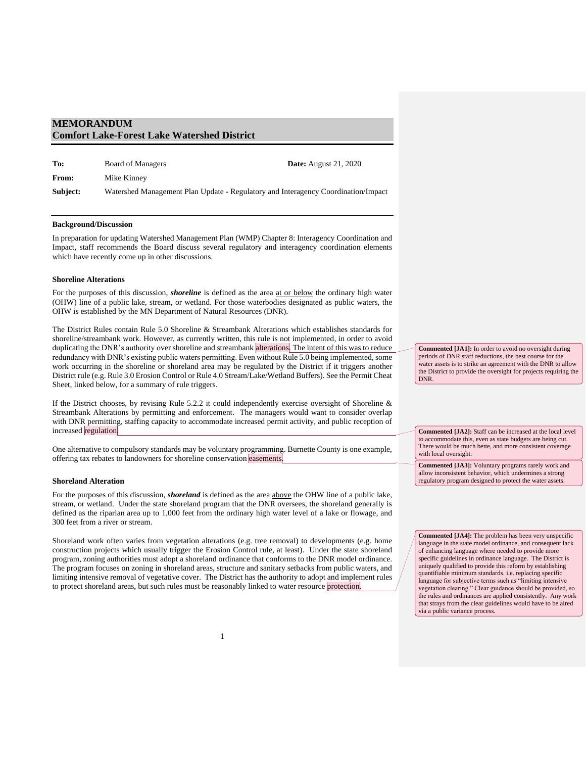| To:      | <b>Board of Managers</b>                                                          | <b>Date:</b> August 21, 2020 |
|----------|-----------------------------------------------------------------------------------|------------------------------|
| From:    | Mike Kinney                                                                       |                              |
| Subject: | Watershed Management Plan Update - Regulatory and Interagency Coordination/Impact |                              |

#### **Background/Discussion**

In preparation for updating Watershed Management Plan (WMP) Chapter 8: Interagency Coordination and Impact, staff recommends the Board discuss several regulatory and interagency coordination elements which have recently come up in other discussions.

#### **Shoreline Alterations**

For the purposes of this discussion, *shoreline* is defined as the area at or below the ordinary high water (OHW) line of a public lake, stream, or wetland. For those waterbodies designated as public waters, the OHW is established by the MN Department of Natural Resources (DNR).

The District Rules contain Rule 5.0 Shoreline & Streambank Alterations which establishes standards for shoreline/streambank work. However, as currently written, this rule is not implemented, in order to avoid duplicating the DNR's authority over shoreline and streambank alterations. The intent of this was to reduce redundancy with DNR's existing public waters permitting. Even without Rule 5.0 being implemented, some work occurring in the shoreline or shoreland area may be regulated by the District if it triggers another District rule (e.g. Rule 3.0 Erosion Control or Rule 4.0 Stream/Lake/Wetland Buffers). See the Permit Cheat Sheet, linked below, for a summary of rule triggers.

If the District chooses, by revising Rule 5.2.2 it could independently exercise oversight of Shoreline & Streambank Alterations by permitting and enforcement. The managers would want to consider overlap with DNR permitting, staffing capacity to accommodate increased permit activity, and public reception of increased regulation.

One alternative to compulsory standards may be voluntary programming. Burnette County is one example, offering tax rebates to landowners for shoreline conservation easements.

#### **Shoreland Alteration**

For the purposes of this discussion, *shoreland* is defined as the area above the OHW line of a public lake, stream, or wetland. Under the state shoreland program that the DNR oversees, the shoreland generally is defined as the riparian area up to 1,000 feet from the ordinary high water level of a lake or flowage, and 300 feet from a river or stream.

Shoreland work often varies from vegetation alterations (e.g. tree removal) to developments (e.g. home construction projects which usually trigger the Erosion Control rule, at least). Under the state shoreland program, zoning authorities must adopt a shoreland ordinance that conforms to the DNR model ordinance. The program focuses on zoning in shoreland areas, structure and sanitary setbacks from public waters, and limiting intensive removal of vegetative cover. The District has the authority to adopt and implement rules to protect shoreland areas, but such rules must be reasonably linked to water resource protection.

**Commented [JA1]:** In order to avoid no oversight during periods of DNR staff reductions, the best course for the water assets is to strike an agreement with the DNR to allow the District to provide the oversight for projects requiring the DNR.

**Commented [JA2]:** Staff can be increased at the local level to accommodate this, even as state budgets are being cut. There would be much bette, and more consistent coverage with local oversight.

**Commented [JA3]:** Voluntary programs rarely work and allow inconsistent behavior, which undermines a strong regulatory program designed to protect the water assets.

**Commented [JA4]:** The problem has been very unspecific language in the state model ordinance, and consequent lack of enhancing language where needed to provide more specific guidelines in ordinance language. The District is uniquely qualified to provide this reform by establishing quantifiable minimum standards. i.e. replacing specific language for subjective terms such as "limiting intensive vegetation clearing." Clear guidance should be provided, so the rules and ordinances are applied consistently. Any work that strays from the clear guidelines would have to be aired via a public variance process.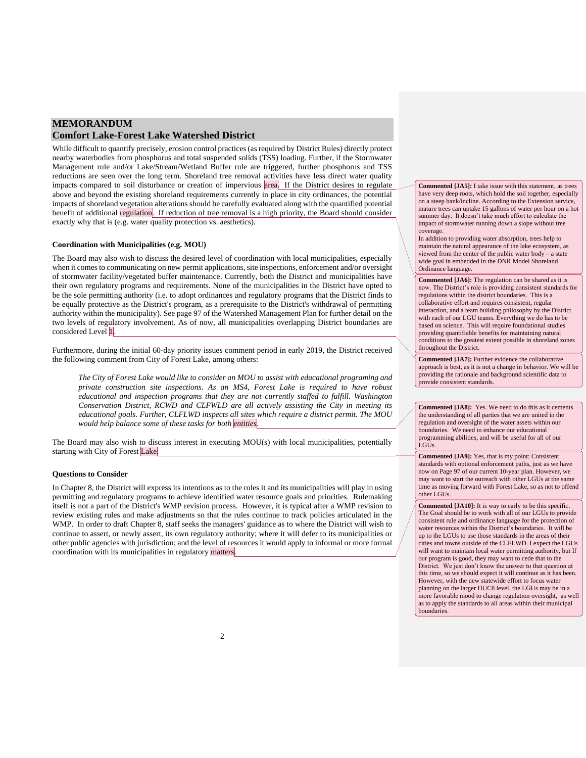While difficult to quantify precisely, erosion control practices (as required by District Rules) directly protect nearby waterbodies from phosphorus and total suspended solids (TSS) loading. Further, if the Stormwater Management rule and/or Lake/Stream/Wetland Buffer rule are triggered, further phosphorus and TSS reductions are seen over the long term. Shoreland tree removal activities have less direct water quality impacts compared to soil disturbance or creation of impervious area. If the District desires to regulate above and beyond the existing shoreland requirements currently in place in city ordinances, the potential impacts of shoreland vegetation alterations should be carefully evaluated along with the quantified potential benefit of additional regulation. If reduction of tree removal is a high priority, the Board should consider exactly why that is (e.g. water quality protection vs. aesthetics).

#### **Coordination with Municipalities (e.g. MOU)**

The Board may also wish to discuss the desired level of coordination with local municipalities, especially when it comes to communicating on new permit applications, site inspections, enforcement and/or oversight of stormwater facility/vegetated buffer maintenance. Currently, both the District and municipalities have their own regulatory programs and requirements. None of the municipalities in the District have opted to be the sole permitting authority (i.e. to adopt ordinances and regulatory programs that the District finds to be equally protective as the District's program, as a prerequisite to the District's withdrawal of permitting authority within the municipality). See page 97 of the Watershed Management Plan for further detail on the two levels of regulatory involvement. As of now, all municipalities overlapping District boundaries are considered Level 1.

Furthermore, during the initial 60-day priority issues comment period in early 2019, the District received the following comment from City of Forest Lake, among others:

*The City of Forest Lake would like to consider an MOU to assist with educational programing and private construction site inspections. As an MS4, Forest Lake is required to have robust educational and inspection programs that they are not currently staffed to fulfill. Washington Conservation District, RCWD and CLFWLD are all actively assisting the City in meeting its educational goals. Further, CLFLWD inspects all sites which require a district permit. The MOU would help balance some of these tasks for both entities.*

The Board may also wish to discuss interest in executing MOU(s) with local municipalities, potentially starting with City of Forest Lake.

#### **Questions to Consider**

In Chapter 8, the District will express its intentions as to the roles it and its municipalities will play in using permitting and regulatory programs to achieve identified water resource goals and priorities. Rulemaking itself is not a part of the District's WMP revision process. However, it is typical after a WMP revision to review existing rules and make adjustments so that the rules continue to track policies articulated in the WMP. In order to draft Chapter 8, staff seeks the managers' guidance as to where the District will wish to continue to assert, or newly assert, its own regulatory authority; where it will defer to its municipalities or other public agencies with jurisdiction; and the level of resources it would apply to informal or more formal coordination with its municipalities in regulatory matters.

**Commented [JA5]:** I take issue with this statement, as trees have very deep roots, which hold the soil together, especially on a steep bank/incline. According to the Extension service, mature trees can uptake 15 gallons of water per hour on a hot summer day. It doesn't take much effort to calculate the impact of stormwater running down a slope without tree coverage.

In addition to providing water absorption, trees help to maintain the natural appearance of the lake ecosystem, as viewed from the center of the public water body – a state wide goal in embedded in the DNR Model Shoreland Ordinance language.

**Commented [JA6]:** The regulation can be shared as it is now. The District's role is providing consistent standards for regulations within the district boundaries. This is a collaborative effort and requires consistent, regular interaction, and a team building philosophy by the District with each of our LGU teams. Everything we do has to be based on science. This will require foundational studies providing quantifiable benefits for maintaining natural conditions to the greatest extent possible in shoreland zones throughout the District.

**Commented [JA7]:** Further evidence the collaborative approach is best, as it is not a change in behavior. We will be providing the rationale and background scientific data to provide consistent standards.

**Commented [JA8]:** Yes. We need to do this as it cements the understanding of all parties that we are united in the regulation and oversight of the water assets within our boundaries. We need to enhance our educational programming abilities, and will be useful for all of our LGUs.

**Commented [JA9]:** Yes, that is my point: Consistent standards with optional enforcement paths, just as we have now on Page 97 of our current 10-year plan. However, we may want to start the outreach with other LGUs at the same time as moving forward with Forest Lake, so as not to offend other LGUs.

**Commented [JA10]:** It is way to early to be this specific. The Goal should be to work with all of our LGUs to provide consistent rule and ordinance language for the protection of water resources within the District's boundaries. It will be up to the LGUs to use those standards in the areas of their cities and towns outside of the CLFLWD. I expect the LGUs will want to maintain local water permitting authority, but If our program is good, they may want to cede that to the District. We just don't know the answer to that question at this time, so we should expect it will continue as it has been. However, with the new statewide effort to focus water planning on the larger HUC8 level, the LGUs may be in a more favorable mood to change regulation oversight, as well as to apply the standards to all areas within their municipal boundaries